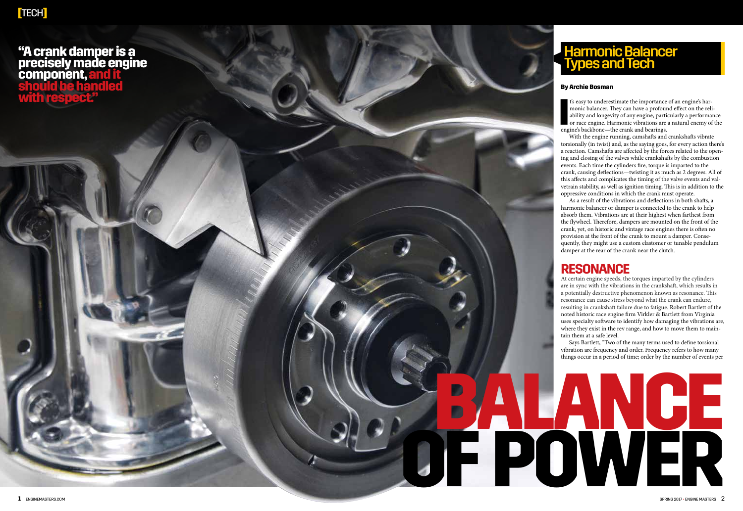### **"A crank damper is a precisely made engine component,and it should be handled with respect."**

# Harmonic Balancer Types and Tech

#### **By Archie Bosman**

I<sup>2</sup> is easy to underestimate the importance monic balancer. They can have a profour ability and longevity of any engine, partior or race engine. Harmonic vibrations are engine's backbone—the crank and bearings. t's easy to underestimate the importance of an engine's har monic balancer. They can have a profound effect on the reli ability and longevity of any engine, particularly a performance or race engine. Harmonic vibrations are a natural enemy of the

With the engine running, camshafts and crankshafts vibrate torsionally (in twist) and, as the saying goes, for every action there's a reaction. Camshafts are affected by the forces related to the open ing and closing of the valves while crankshafts by the combustion events. Each time the cylinders fire, torque is imparted to the crank, causing deflections—twisting it as much as 2 degrees. All of this affects and complicates the timing of the valve events and val vetrain stability, as well as ignition timing. This is in addition to the oppressive conditions in which the crank must operate.

As a result of the vibrations and deflections in both shafts, a harmonic balancer or damper is connected to the crank to help absorb them. Vibrations are at their highest when farthest from the flywheel. Therefore, dampers are mounted on the front of the crank, yet, on historic and vintage race engines there is often no provision at the front of the crank to mount a damper. Conse quently, they might use a custom elastomer or tunable pendulum damper at the rear of the crank near the clutch.

## **RESONANCE**

**BALANCE**

At certain engine speeds, the torques imparted by the cylinders are in sync with the vibrations in the crankshaft, which results in a potentially destructive phenomenon known as resonance. This resonance can cause stress beyond what the crank can endure, resulting in crankshaft failure due to fatigue. Robert Bartlett of the noted historic race engine firm Virkler & Bartlett from Virginia uses specialty software to identify how damaging the vibrations are, where they exist in the rev range, and how to move them to main tain them at a safe level.

Says Bartlett, "Two of the many terms used to define torsional vibration are frequency and order. Frequency refers to how many things occur in a period of time; order by the number of events per